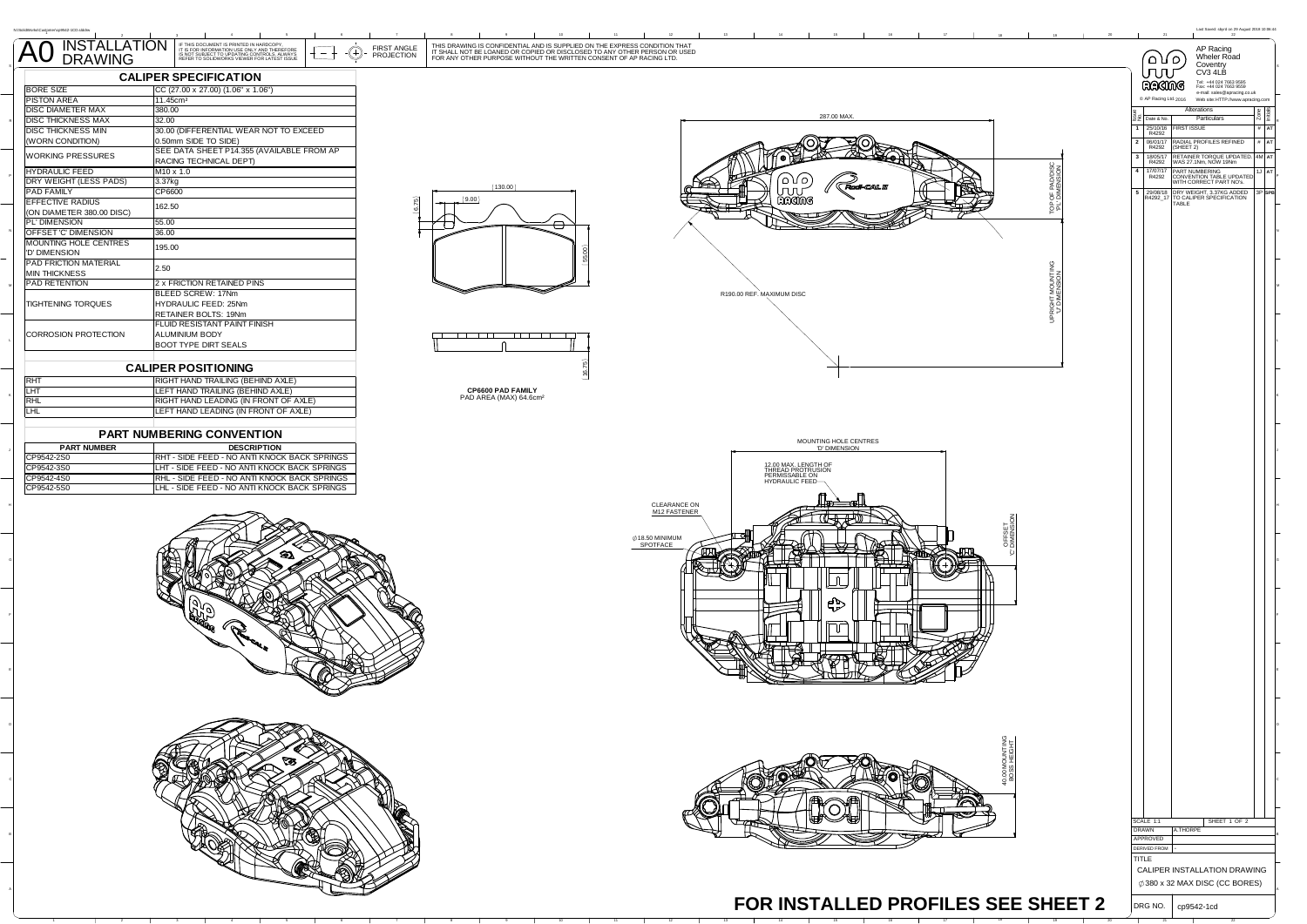|                                                       | AO INSTALLATION FIRE DOCUMENT IS PROTECULAR DESCRIPTION OF THE DOCUMENT IS PROTECULAR TO UPON THE GROUP TO UPON THE GROUP OF THE DESCRIPTION OF THE DESCRIPTION OF THE DESCRIPTION OF THE DESCRIPTION OF THE DESCRIPTION OF TH<br>THIS DRAWING IS CONFIDENTIAL AND IS SUPPLIED ON THE EXPRESS CONDITION THAT<br>IT SHALL NOT BE LOANED OR COPIED OR DISCLOSED TO ANY OTHER PERSON OR USED<br>FOR ANY OTHER PURPOSE WITHOUT THE WRITTEN CONSENT OF AP RACING LTD.<br>FIRST ANGLE<br>(F) |                                                                                | Last Sayed: sbyrd on 29 Au<br>21<br>AP Racing<br>Wheler Road                                                                           |
|-------------------------------------------------------|----------------------------------------------------------------------------------------------------------------------------------------------------------------------------------------------------------------------------------------------------------------------------------------------------------------------------------------------------------------------------------------------------------------------------------------------------------------------------------------|--------------------------------------------------------------------------------|----------------------------------------------------------------------------------------------------------------------------------------|
|                                                       | PROJECTION                                                                                                                                                                                                                                                                                                                                                                                                                                                                             |                                                                                | ۲۵ ۱۵<br>Coventry<br>JUU<br>CV3 4LB                                                                                                    |
| <b>BORE SIZE</b>                                      | <b>CALIPER SPECIFICATION</b><br>CC (27.00 x 27.00) (1.06" x 1.06")                                                                                                                                                                                                                                                                                                                                                                                                                     |                                                                                | Tel: +44 024 7663 9595<br>Fax: +44 024 7663 9559<br>RACIMG<br>e-mail: sales@apracing.co.uk                                             |
| <b>PISTON AREA</b>                                    | 11.45cm <sup>2</sup>                                                                                                                                                                                                                                                                                                                                                                                                                                                                   |                                                                                | C AP Racing Ltd. 2016 Web site: HTTP://www.apracing.com                                                                                |
| <b>DISC DIAMETER MAX</b><br><b>DISC THICKNESS MAX</b> | 380.00<br>32.00                                                                                                                                                                                                                                                                                                                                                                                                                                                                        | 287.00 MAX                                                                     | Alterations<br>$\frac{Z \text{one}}{\text{high}}$<br>Particulars<br>22 Date & No.                                                      |
| DISC THICKNESS MIN                                    | 30.00 (DIFFERENTIAL WEAR NOT TO EXCEED                                                                                                                                                                                                                                                                                                                                                                                                                                                 |                                                                                | <b>FIRST ISSUE</b><br>$1   25/10/16$<br>R4292<br>$#$ AT                                                                                |
| (WORN CONDITION)                                      | 0.50mm SIDE TO SIDE)<br>SEE DATA SHEET P14.355 (AVAILABLE FROM AP                                                                                                                                                                                                                                                                                                                                                                                                                      |                                                                                | $\begin{array}{ c c c }\n\hline\n2 & 06/01/17 \\ \hline\n\text{R}4292\n\end{array}$<br>RADIAL PROFILES REFINED<br>$\#$ AT<br>(SHEET 2) |
| WORKING PRESSURES                                     | RACING TECHNICAL DEPT)                                                                                                                                                                                                                                                                                                                                                                                                                                                                 |                                                                                | 3 18/05/17 RETAINER TORQUE UPDATED. 4M AT R4292 WAS 27.1Nm, NOW 19Nm                                                                   |
| <b>HYDRAULIC FEED</b><br>DRY WEIGHT (LESS PADS)       | M10 x 1.0<br>3.37kg                                                                                                                                                                                                                                                                                                                                                                                                                                                                    | OF PADDISC                                                                     | 4 17/07/17 PART NUMBERING<br>R4292 CONVENTION TABLE UPDATED<br>WITH CORRECT PART NO's.                                                 |
| <b>PAD FAMILY</b><br><b>EFFECTIVE RADIUS</b>          | (130.00)<br>CP6600<br>(9.00)                                                                                                                                                                                                                                                                                                                                                                                                                                                           | RACINE                                                                         | 5 29/08/18 DRY WEIGHT, 3.37KG ADDED<br>R4292_17 TO CALIPER SPECIFICATION<br>TABLE                                                      |
| (ON DIAMETER 380.00 DISC)                             | 162.50                                                                                                                                                                                                                                                                                                                                                                                                                                                                                 | 양력                                                                             |                                                                                                                                        |
| PL' DIMENSION<br>OFFSET 'C' DIMENSION                 | 55.00<br>$\ominus$<br>36.00                                                                                                                                                                                                                                                                                                                                                                                                                                                            |                                                                                |                                                                                                                                        |
| MOUNTING HOLE CENTRES                                 | 195.00                                                                                                                                                                                                                                                                                                                                                                                                                                                                                 |                                                                                |                                                                                                                                        |
| 'D' DIMENSION<br>PAD FRICTION MATERIAL                |                                                                                                                                                                                                                                                                                                                                                                                                                                                                                        |                                                                                |                                                                                                                                        |
| <b>MIN THICKNESS</b>                                  | 2.50                                                                                                                                                                                                                                                                                                                                                                                                                                                                                   | RIGHT MOUNTING<br>"U" DIMENSION                                                |                                                                                                                                        |
| PAD RETENTION                                         | 2 x FRICTION RETAINED PINS                                                                                                                                                                                                                                                                                                                                                                                                                                                             |                                                                                |                                                                                                                                        |
| <b>TIGHTENING TORQUES</b>                             | BLEED SCREW: 17Nm<br>HYDRAULIC FEED: 25Nm                                                                                                                                                                                                                                                                                                                                                                                                                                              | R190.00 REF. MAXIMUM DISC                                                      |                                                                                                                                        |
|                                                       | RETAINER BOLTS: 19Nm                                                                                                                                                                                                                                                                                                                                                                                                                                                                   |                                                                                |                                                                                                                                        |
| CORROSION PROTECTION                                  | FLUID RESISTANT PAINT FINISH<br><b>ALUMINIUM BODY</b><br>- 1 1 1 1 1 1 1 1<br>la de la Terr                                                                                                                                                                                                                                                                                                                                                                                            |                                                                                |                                                                                                                                        |
|                                                       | <b>BOOT TYPE DIRT SEALS</b>                                                                                                                                                                                                                                                                                                                                                                                                                                                            |                                                                                |                                                                                                                                        |
|                                                       | <b>CALIPER POSITIONING</b>                                                                                                                                                                                                                                                                                                                                                                                                                                                             |                                                                                |                                                                                                                                        |
| <b>RHT</b>                                            | RIGHT HAND TRAILING (BEHIND AXLE)                                                                                                                                                                                                                                                                                                                                                                                                                                                      |                                                                                |                                                                                                                                        |
| LHT                                                   | LEFT HAND TRAILING (BEHIND AXLE)<br>CP6600 PAD FAMILY<br>PAD AREA (MAX) 64.6cm <sup>2</sup>                                                                                                                                                                                                                                                                                                                                                                                            |                                                                                |                                                                                                                                        |
| <b>RHL</b><br><b>LHL</b>                              | RIGHT HAND LEADING (IN FRONT OF AXLE)<br>LEFT HAND LEADING (IN FRONT OF AXLE)                                                                                                                                                                                                                                                                                                                                                                                                          |                                                                                |                                                                                                                                        |
|                                                       |                                                                                                                                                                                                                                                                                                                                                                                                                                                                                        |                                                                                |                                                                                                                                        |
| <b>PART NUMBER</b>                                    | PART NUMBERING CONVENTION                                                                                                                                                                                                                                                                                                                                                                                                                                                              | MOUNTING HOLE CENTRES<br>"D' DIMENSION                                         |                                                                                                                                        |
| CP9542-2S0                                            | <b>DESCRIPTION</b><br>RHT - SIDE FEED - NO ANTI KNOCK BACK SPRINGS                                                                                                                                                                                                                                                                                                                                                                                                                     |                                                                                |                                                                                                                                        |
| CP9542-3S0                                            | LHT - SIDE FEED - NO ANTI KNOCK BACK SPRINGS                                                                                                                                                                                                                                                                                                                                                                                                                                           | 12.00 MAX. LENGTH OF<br>THREAD PROTRUSION<br>PERMISSABLE ON<br>HYDRAULIC FEED— |                                                                                                                                        |
| CP9542-4S0<br>CP9542-5S0                              | RHL - SIDE FEED - NO ANTI KNOCK BACK SPRINGS<br>LHL - SIDE FEED - NO ANTI KNOCK BACK SPRINGS                                                                                                                                                                                                                                                                                                                                                                                           |                                                                                |                                                                                                                                        |
|                                                       |                                                                                                                                                                                                                                                                                                                                                                                                                                                                                        | CLEARANCE ON                                                                   |                                                                                                                                        |
| M12 FASTENER                                          |                                                                                                                                                                                                                                                                                                                                                                                                                                                                                        |                                                                                |                                                                                                                                        |
| OFFSET<br>DIMENSI<br>Ø18.50 MINIMUM                   |                                                                                                                                                                                                                                                                                                                                                                                                                                                                                        |                                                                                |                                                                                                                                        |
| SPOTFACE                                              |                                                                                                                                                                                                                                                                                                                                                                                                                                                                                        |                                                                                |                                                                                                                                        |
|                                                       |                                                                                                                                                                                                                                                                                                                                                                                                                                                                                        |                                                                                |                                                                                                                                        |
|                                                       |                                                                                                                                                                                                                                                                                                                                                                                                                                                                                        |                                                                                |                                                                                                                                        |
|                                                       |                                                                                                                                                                                                                                                                                                                                                                                                                                                                                        |                                                                                |                                                                                                                                        |
| יר                                                    |                                                                                                                                                                                                                                                                                                                                                                                                                                                                                        |                                                                                |                                                                                                                                        |
| Пſ                                                    |                                                                                                                                                                                                                                                                                                                                                                                                                                                                                        |                                                                                |                                                                                                                                        |
|                                                       |                                                                                                                                                                                                                                                                                                                                                                                                                                                                                        |                                                                                |                                                                                                                                        |
|                                                       |                                                                                                                                                                                                                                                                                                                                                                                                                                                                                        |                                                                                |                                                                                                                                        |
|                                                       |                                                                                                                                                                                                                                                                                                                                                                                                                                                                                        |                                                                                |                                                                                                                                        |
|                                                       |                                                                                                                                                                                                                                                                                                                                                                                                                                                                                        |                                                                                |                                                                                                                                        |
|                                                       |                                                                                                                                                                                                                                                                                                                                                                                                                                                                                        |                                                                                |                                                                                                                                        |
|                                                       |                                                                                                                                                                                                                                                                                                                                                                                                                                                                                        |                                                                                |                                                                                                                                        |
|                                                       |                                                                                                                                                                                                                                                                                                                                                                                                                                                                                        |                                                                                |                                                                                                                                        |
|                                                       |                                                                                                                                                                                                                                                                                                                                                                                                                                                                                        |                                                                                |                                                                                                                                        |
|                                                       |                                                                                                                                                                                                                                                                                                                                                                                                                                                                                        |                                                                                |                                                                                                                                        |
|                                                       |                                                                                                                                                                                                                                                                                                                                                                                                                                                                                        |                                                                                |                                                                                                                                        |
|                                                       |                                                                                                                                                                                                                                                                                                                                                                                                                                                                                        |                                                                                |                                                                                                                                        |
|                                                       |                                                                                                                                                                                                                                                                                                                                                                                                                                                                                        |                                                                                |                                                                                                                                        |
|                                                       |                                                                                                                                                                                                                                                                                                                                                                                                                                                                                        |                                                                                | SCALE 1:1<br>SHEET 1 OF 2                                                                                                              |
|                                                       |                                                                                                                                                                                                                                                                                                                                                                                                                                                                                        |                                                                                | DRAWN<br>A.THORPE<br>APPROVED                                                                                                          |
|                                                       |                                                                                                                                                                                                                                                                                                                                                                                                                                                                                        |                                                                                | <b>DERIVED FROM</b>                                                                                                                    |
|                                                       |                                                                                                                                                                                                                                                                                                                                                                                                                                                                                        |                                                                                | TITLE<br>CALIPER INSTALLATION DRAWING                                                                                                  |
|                                                       |                                                                                                                                                                                                                                                                                                                                                                                                                                                                                        |                                                                                | $\phi$ 380 x 32 MAX DISC (CC BORES)                                                                                                    |
|                                                       |                                                                                                                                                                                                                                                                                                                                                                                                                                                                                        | FOR INSTALLED PROFILES SEE SHEET 2                                             |                                                                                                                                        |
|                                                       |                                                                                                                                                                                                                                                                                                                                                                                                                                                                                        |                                                                                | DRG NO.<br>cp9542-1cd                                                                                                                  |

2022 - 2022 - 2022 - 2022 - 2022 - 2022 - 2022 - 2022 - 2022 - 2022 - 2022 - 2022

 $\overline{\phantom{0}}$ 

 $\overline{\phantom{0}}$ 

 $\overline{\phantom{0}}$ 

 $\overline{\phantom{0}}$ 

 $\overline{\phantom{0}}$ 

-

-

 $\overline{a}$ 

<sup>4</sup> <sup>5</sup> <sup>6</sup> <sup>7</sup> <sup>8</sup> <sup>9</sup> <sup>10</sup> <sup>11</sup> <sup>12</sup> <sup>13</sup> <sup>14</sup> <sup>15</sup> <sup>16</sup> <sup>17</sup> <sup>18</sup> <sup>19</sup> <sup>20</sup> <sup>21</sup> <sup>22</sup>